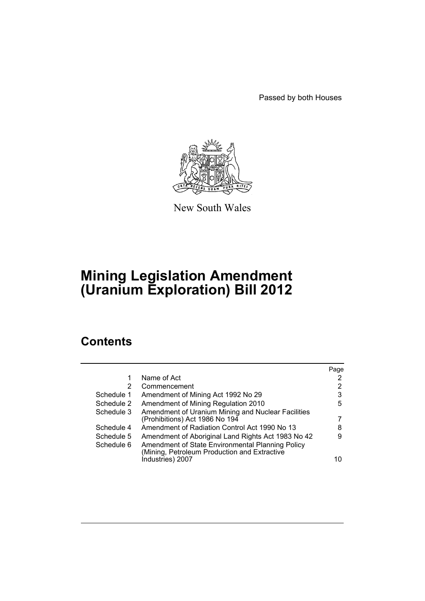Passed by both Houses



New South Wales

# **Mining Legislation Amendment (Uranium Exploration) Bill 2012**

# **Contents**

|            |                                                                                                  | Page |
|------------|--------------------------------------------------------------------------------------------------|------|
| 1          | Name of Act                                                                                      | 2    |
| 2          | Commencement                                                                                     | 2    |
| Schedule 1 | Amendment of Mining Act 1992 No 29                                                               | 3    |
| Schedule 2 | Amendment of Mining Regulation 2010                                                              | 5    |
| Schedule 3 | Amendment of Uranium Mining and Nuclear Facilities                                               |      |
|            | (Prohibitions) Act 1986 No 194                                                                   |      |
| Schedule 4 | Amendment of Radiation Control Act 1990 No 13                                                    | 8    |
| Schedule 5 | Amendment of Aboriginal Land Rights Act 1983 No 42                                               | 9    |
| Schedule 6 | Amendment of State Environmental Planning Policy<br>(Mining, Petroleum Production and Extractive |      |
|            | Industries) 2007                                                                                 | 10   |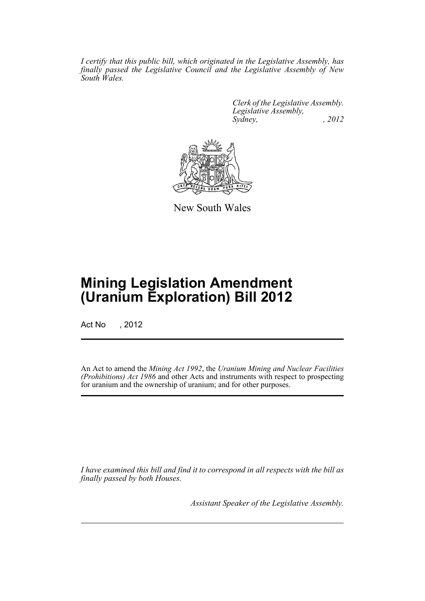*I certify that this public bill, which originated in the Legislative Assembly, has finally passed the Legislative Council and the Legislative Assembly of New South Wales.*

> *Clerk of the Legislative Assembly. Legislative Assembly, Sydney, , 2012*



New South Wales

# **Mining Legislation Amendment (Uranium Exploration) Bill 2012**

Act No , 2012

An Act to amend the *Mining Act 1992*, the *Uranium Mining and Nuclear Facilities (Prohibitions) Act 1986* and other Acts and instruments with respect to prospecting for uranium and the ownership of uranium; and for other purposes.

*I have examined this bill and find it to correspond in all respects with the bill as finally passed by both Houses.*

*Assistant Speaker of the Legislative Assembly.*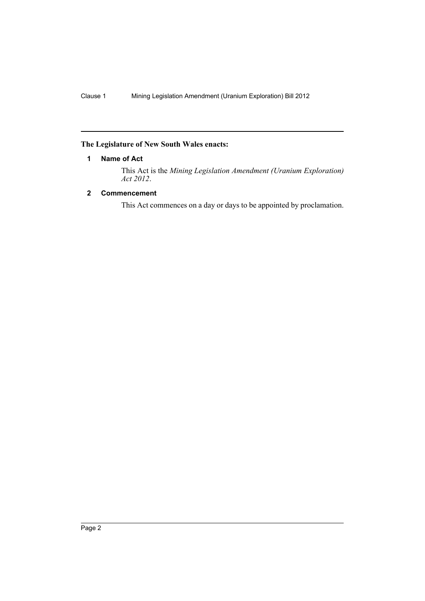## <span id="page-3-0"></span>**The Legislature of New South Wales enacts:**

## **1 Name of Act**

This Act is the *Mining Legislation Amendment (Uranium Exploration) Act 2012*.

## <span id="page-3-1"></span>**2 Commencement**

This Act commences on a day or days to be appointed by proclamation.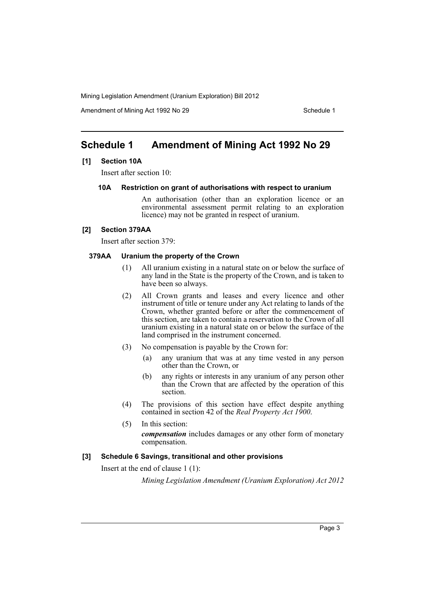Amendment of Mining Act 1992 No 29 Schedule 1

# <span id="page-4-0"></span>**Schedule 1 Amendment of Mining Act 1992 No 29**

### **[1] Section 10A**

Insert after section 10:

**10A Restriction on grant of authorisations with respect to uranium**

An authorisation (other than an exploration licence or an environmental assessment permit relating to an exploration licence) may not be granted in respect of uranium.

#### **[2] Section 379AA**

Insert after section 379:

#### **379AA Uranium the property of the Crown**

- (1) All uranium existing in a natural state on or below the surface of any land in the State is the property of the Crown, and is taken to have been so always.
- (2) All Crown grants and leases and every licence and other instrument of title or tenure under any Act relating to lands of the Crown, whether granted before or after the commencement of this section, are taken to contain a reservation to the Crown of all uranium existing in a natural state on or below the surface of the land comprised in the instrument concerned.
- (3) No compensation is payable by the Crown for:
	- (a) any uranium that was at any time vested in any person other than the Crown, or
	- (b) any rights or interests in any uranium of any person other than the Crown that are affected by the operation of this section.
- (4) The provisions of this section have effect despite anything contained in section 42 of the *Real Property Act 1900*.
- (5) In this section: *compensation* includes damages or any other form of monetary compensation.

#### **[3] Schedule 6 Savings, transitional and other provisions**

Insert at the end of clause 1 (1):

*Mining Legislation Amendment (Uranium Exploration) Act 2012*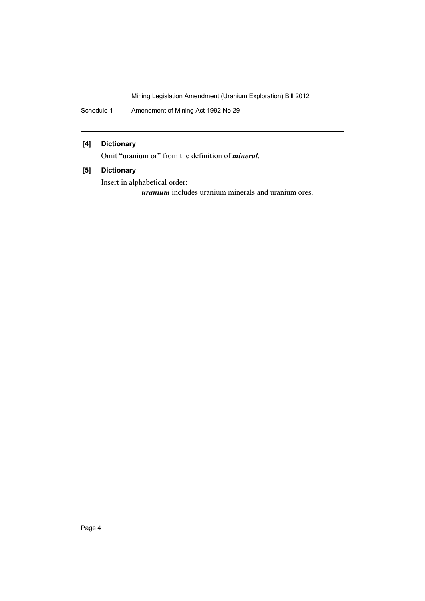Schedule 1 Amendment of Mining Act 1992 No 29

## **[4] Dictionary**

Omit "uranium or" from the definition of *mineral*.

## **[5] Dictionary**

Insert in alphabetical order:

*uranium* includes uranium minerals and uranium ores.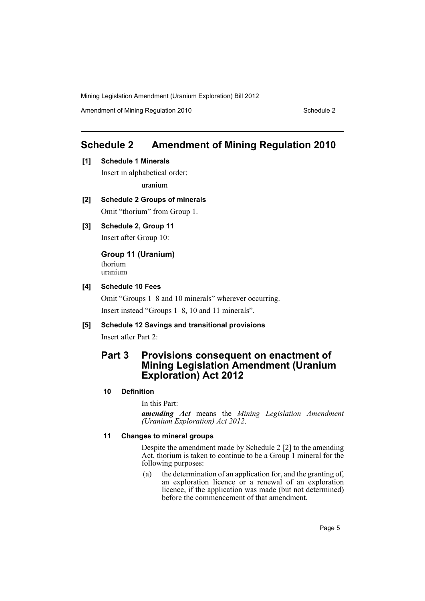Amendment of Mining Regulation 2010 Schedule 2

# <span id="page-6-0"></span>**Schedule 2 Amendment of Mining Regulation 2010**

**[1] Schedule 1 Minerals**

Insert in alphabetical order: uranium

- **[2] Schedule 2 Groups of minerals** Omit "thorium" from Group 1.
- **[3] Schedule 2, Group 11** Insert after Group 10:

**Group 11 (Uranium)** thorium uranium

#### **[4] Schedule 10 Fees**

Omit "Groups 1–8 and 10 minerals" wherever occurring. Insert instead "Groups 1–8, 10 and 11 minerals".

## **[5] Schedule 12 Savings and transitional provisions**

Insert after Part 2:

## **Part 3 Provisions consequent on enactment of Mining Legislation Amendment (Uranium Exploration) Act 2012**

### **10 Definition**

In this Part:

*amending Act* means the *Mining Legislation Amendment (Uranium Exploration) Act 2012*.

### **11 Changes to mineral groups**

Despite the amendment made by Schedule 2 [2] to the amending Act, thorium is taken to continue to be a Group 1 mineral for the following purposes:

(a) the determination of an application for, and the granting of, an exploration licence or a renewal of an exploration licence, if the application was made (but not determined) before the commencement of that amendment,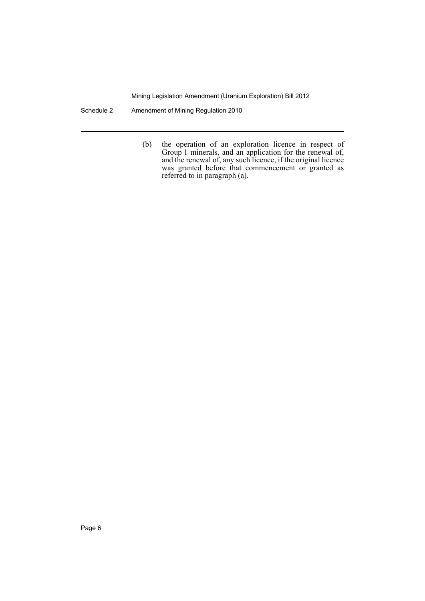Schedule 2 Amendment of Mining Regulation 2010

(b) the operation of an exploration licence in respect of Group 1 minerals, and an application for the renewal of, and the renewal of, any such licence, if the original licence was granted before that commencement or granted as referred to in paragraph (a).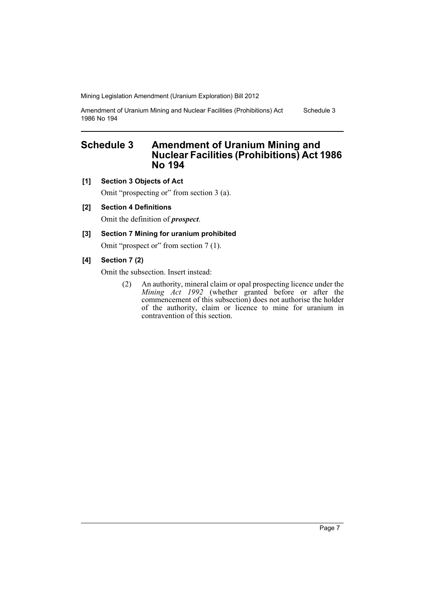Amendment of Uranium Mining and Nuclear Facilities (Prohibitions) Act 1986 No 194 Schedule 3

## <span id="page-8-0"></span>**Schedule 3 Amendment of Uranium Mining and Nuclear Facilities (Prohibitions) Act 1986 No 194**

**[1] Section 3 Objects of Act**

Omit "prospecting or" from section 3 (a).

**[2] Section 4 Definitions**

Omit the definition of *prospect*.

#### **[3] Section 7 Mining for uranium prohibited**

Omit "prospect or" from section 7 (1).

#### **[4] Section 7 (2)**

Omit the subsection. Insert instead:

(2) An authority, mineral claim or opal prospecting licence under the *Mining Act 1992* (whether granted before or after the commencement of this subsection) does not authorise the holder of the authority, claim or licence to mine for uranium in contravention of this section.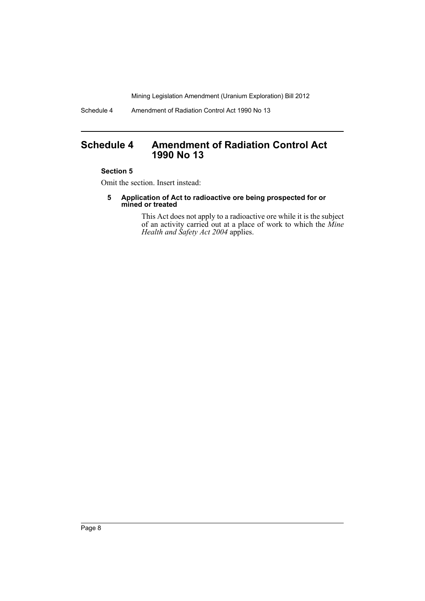Schedule 4 Amendment of Radiation Control Act 1990 No 13

## <span id="page-9-0"></span>**Schedule 4 Amendment of Radiation Control Act 1990 No 13**

#### **Section 5**

Omit the section. Insert instead:

**5 Application of Act to radioactive ore being prospected for or mined or treated**

> This Act does not apply to a radioactive ore while it is the subject of an activity carried out at a place of work to which the *Mine Health and Safety Act 2004* applies.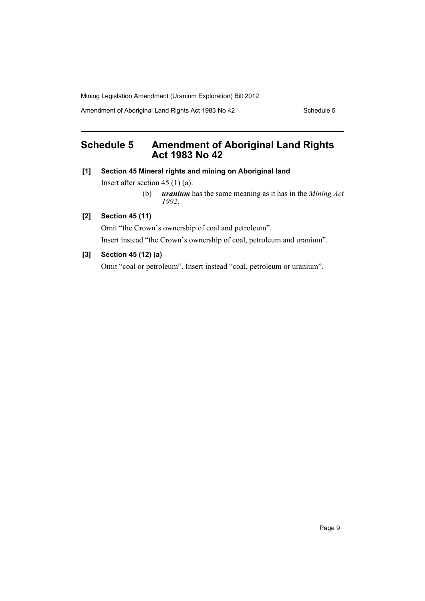Amendment of Aboriginal Land Rights Act 1983 No 42 Schedule 5

# <span id="page-10-0"></span>**Schedule 5 Amendment of Aboriginal Land Rights Act 1983 No 42**

### **[1] Section 45 Mineral rights and mining on Aboriginal land**

Insert after section 45 (1) (a):

(b) *uranium* has the same meaning as it has in the *Mining Act 1992*.

## **[2] Section 45 (11)**

Omit "the Crown's ownership of coal and petroleum". Insert instead "the Crown's ownership of coal, petroleum and uranium".

## **[3] Section 45 (12) (a)**

Omit "coal or petroleum". Insert instead "coal, petroleum or uranium".